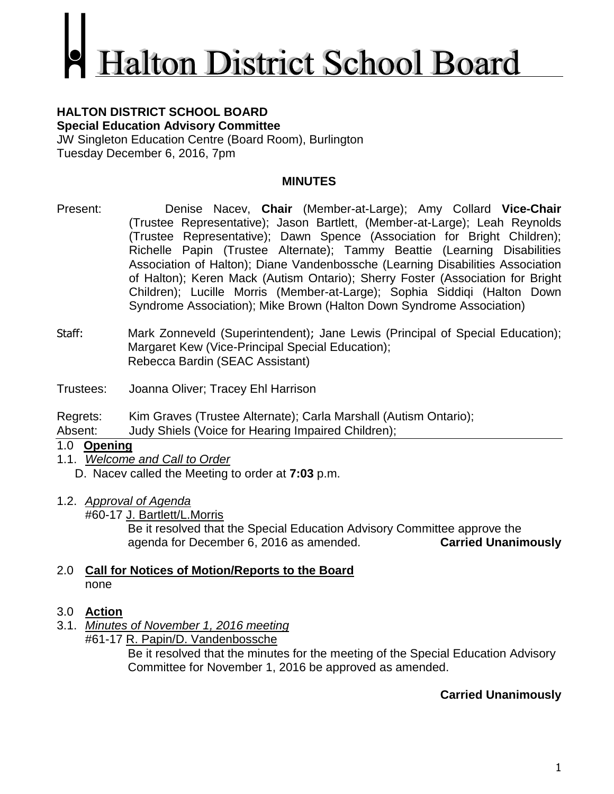# **Ialton District School Board**

#### **HALTON DISTRICT SCHOOL BOARD Special Education Advisory Committee**

JW Singleton Education Centre (Board Room), Burlington Tuesday December 6, 2016, 7pm

#### **MINUTES**

- Present: Denise Nacev, **Chair** (Member-at-Large); Amy Collard **Vice-Chair** (Trustee Representative); Jason Bartlett, (Member-at-Large); Leah Reynolds (Trustee Representative); Dawn Spence (Association for Bright Children); Richelle Papin (Trustee Alternate); Tammy Beattie (Learning Disabilities Association of Halton); Diane Vandenbossche (Learning Disabilities Association of Halton); Keren Mack (Autism Ontario); Sherry Foster (Association for Bright Children); Lucille Morris (Member-at-Large); Sophia Siddiqi (Halton Down Syndrome Association); Mike Brown (Halton Down Syndrome Association)
- Staff: Mark Zonneveld (Superintendent); Jane Lewis (Principal of Special Education); Margaret Kew (Vice-Principal Special Education); Rebecca Bardin (SEAC Assistant)
- Trustees: Joanna Oliver; Tracey Ehl Harrison
- Regrets: Kim Graves (Trustee Alternate); Carla Marshall (Autism Ontario);
- Absent: Judy Shiels (Voice for Hearing Impaired Children);

## 1.0 **Opening**

1.1. *Welcome and Call to Order* 

D. Nacev called the Meeting to order at **7:03** p.m.

- 1.2. *Approval of Agenda* 
	- #60-17 J. Bartlett/L.Morris

Be it resolved that the Special Education Advisory Committee approve the agenda for December 6, 2016 as amended. **Carried Unanimously** 

#### 2.0 **Call for Notices of Motion/Reports to the Board**  none

# 3.0 **Action**

- 3.1. *Minutes of November 1, 2016 meeting* 
	- #61-17 R. Papin/D. Vandenbossche

Be it resolved that the minutes for the meeting of the Special Education Advisory Committee for November 1, 2016 be approved as amended.

# **Carried Unanimously**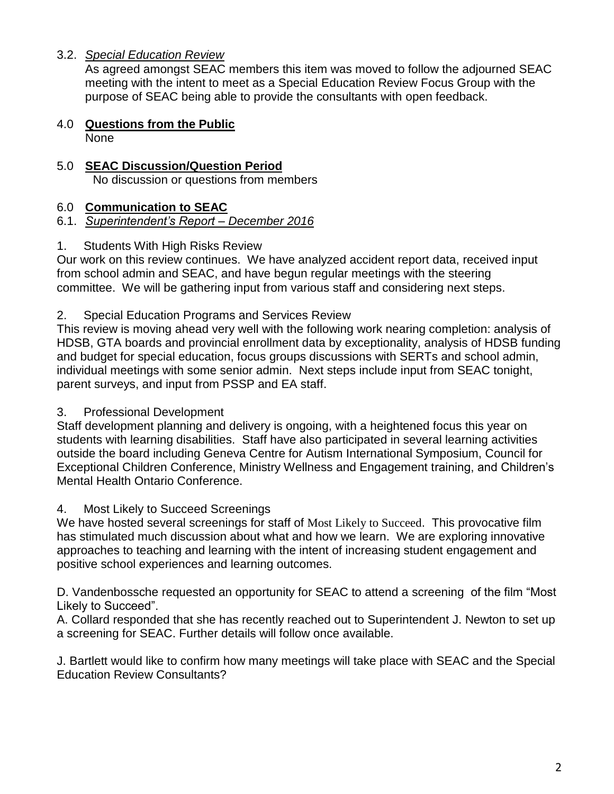#### 3.2. *Special Education Review*

As agreed amongst SEAC members this item was moved to follow the adjourned SEAC meeting with the intent to meet as a Special Education Review Focus Group with the purpose of SEAC being able to provide the consultants with open feedback.

#### 4.0 **Questions from the Public** None

5.0 **SEAC Discussion/Question Period** No discussion or questions from members

#### 6.0 **Communication to SEAC**

#### 6.1. *Superintendent's Report – December 2016*

#### 1. Students With High Risks Review

Our work on this review continues. We have analyzed accident report data, received input from school admin and SEAC, and have begun regular meetings with the steering committee. We will be gathering input from various staff and considering next steps.

2. Special Education Programs and Services Review

This review is moving ahead very well with the following work nearing completion: analysis of HDSB, GTA boards and provincial enrollment data by exceptionality, analysis of HDSB funding and budget for special education, focus groups discussions with SERTs and school admin, individual meetings with some senior admin. Next steps include input from SEAC tonight, parent surveys, and input from PSSP and EA staff.

## 3. Professional Development

Staff development planning and delivery is ongoing, with a heightened focus this year on students with learning disabilities. Staff have also participated in several learning activities outside the board including Geneva Centre for Autism International Symposium, Council for Exceptional Children Conference, Ministry Wellness and Engagement training, and Children's Mental Health Ontario Conference.

#### 4. Most Likely to Succeed Screenings

We have hosted several screenings for staff of [Most Likely to Succeed](http://www.mltsfilm.org/). This provocative film has stimulated much discussion about what and how we learn. We are exploring innovative approaches to teaching and learning with the intent of increasing student engagement and positive school experiences and learning outcomes.

D. Vandenbossche requested an opportunity for SEAC to attend a screening of the film "Most Likely to Succeed".

A. Collard responded that she has recently reached out to Superintendent J. Newton to set up a screening for SEAC. Further details will follow once available.

J. Bartlett would like to confirm how many meetings will take place with SEAC and the Special Education Review Consultants?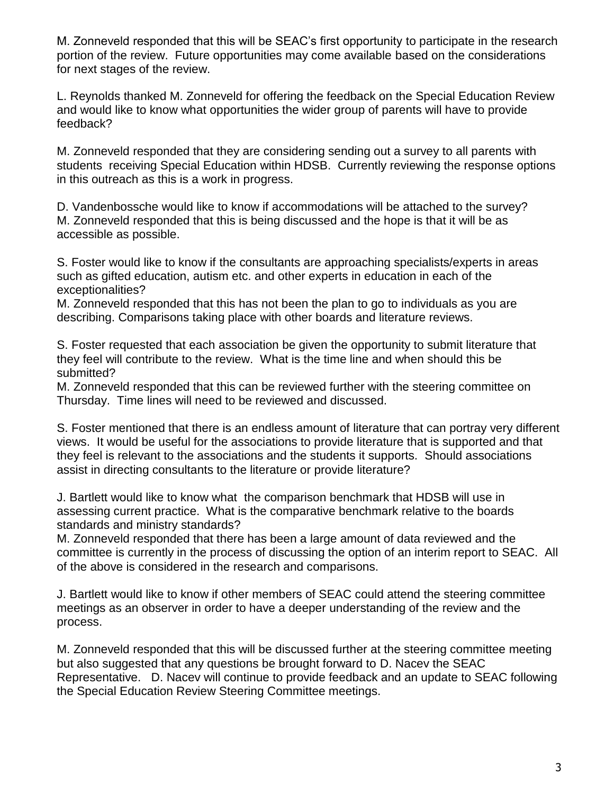M. Zonneveld responded that this will be SEAC's first opportunity to participate in the research portion of the review. Future opportunities may come available based on the considerations for next stages of the review.

L. Reynolds thanked M. Zonneveld for offering the feedback on the Special Education Review and would like to know what opportunities the wider group of parents will have to provide feedback?

M. Zonneveld responded that they are considering sending out a survey to all parents with students receiving Special Education within HDSB. Currently reviewing the response options in this outreach as this is a work in progress.

D. Vandenbossche would like to know if accommodations will be attached to the survey? M. Zonneveld responded that this is being discussed and the hope is that it will be as accessible as possible.

S. Foster would like to know if the consultants are approaching specialists/experts in areas such as gifted education, autism etc. and other experts in education in each of the exceptionalities?

M. Zonneveld responded that this has not been the plan to go to individuals as you are describing. Comparisons taking place with other boards and literature reviews.

S. Foster requested that each association be given the opportunity to submit literature that they feel will contribute to the review. What is the time line and when should this be submitted?

M. Zonneveld responded that this can be reviewed further with the steering committee on Thursday. Time lines will need to be reviewed and discussed.

S. Foster mentioned that there is an endless amount of literature that can portray very different views. It would be useful for the associations to provide literature that is supported and that they feel is relevant to the associations and the students it supports. Should associations assist in directing consultants to the literature or provide literature?

J. Bartlett would like to know what the comparison benchmark that HDSB will use in assessing current practice. What is the comparative benchmark relative to the boards standards and ministry standards?

M. Zonneveld responded that there has been a large amount of data reviewed and the committee is currently in the process of discussing the option of an interim report to SEAC. All of the above is considered in the research and comparisons.

J. Bartlett would like to know if other members of SEAC could attend the steering committee meetings as an observer in order to have a deeper understanding of the review and the process.

M. Zonneveld responded that this will be discussed further at the steering committee meeting but also suggested that any questions be brought forward to D. Nacev the SEAC Representative. D. Nacev will continue to provide feedback and an update to SEAC following the Special Education Review Steering Committee meetings.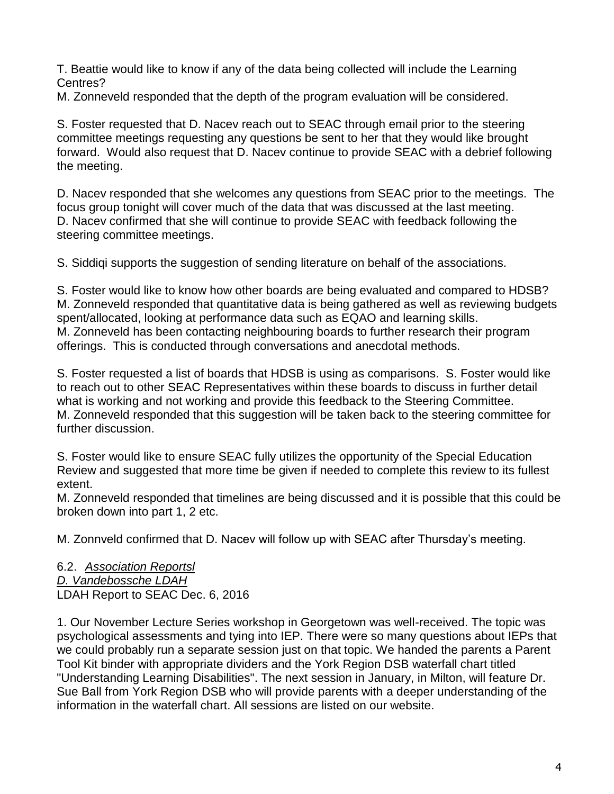T. Beattie would like to know if any of the data being collected will include the Learning Centres?

M. Zonneveld responded that the depth of the program evaluation will be considered.

S. Foster requested that D. Nacev reach out to SEAC through email prior to the steering committee meetings requesting any questions be sent to her that they would like brought forward. Would also request that D. Nacev continue to provide SEAC with a debrief following the meeting.

D. Nacev responded that she welcomes any questions from SEAC prior to the meetings. The focus group tonight will cover much of the data that was discussed at the last meeting. D. Nacev confirmed that she will continue to provide SEAC with feedback following the steering committee meetings.

S. Siddiqi supports the suggestion of sending literature on behalf of the associations.

S. Foster would like to know how other boards are being evaluated and compared to HDSB? M. Zonneveld responded that quantitative data is being gathered as well as reviewing budgets spent/allocated, looking at performance data such as EQAO and learning skills. M. Zonneveld has been contacting neighbouring boards to further research their program offerings. This is conducted through conversations and anecdotal methods.

S. Foster requested a list of boards that HDSB is using as comparisons. S. Foster would like to reach out to other SEAC Representatives within these boards to discuss in further detail what is working and not working and provide this feedback to the Steering Committee. M. Zonneveld responded that this suggestion will be taken back to the steering committee for further discussion.

S. Foster would like to ensure SEAC fully utilizes the opportunity of the Special Education Review and suggested that more time be given if needed to complete this review to its fullest extent.

M. Zonneveld responded that timelines are being discussed and it is possible that this could be broken down into part 1, 2 etc.

M. Zonnveld confirmed that D. Nacev will follow up with SEAC after Thursday's meeting.

6.2. *Association Reportsl D. Vandebossche LDAH* LDAH Report to SEAC Dec. 6, 2016

1. Our November Lecture Series workshop in Georgetown was well-received. The topic was psychological assessments and tying into IEP. There were so many questions about IEPs that we could probably run a separate session just on that topic. We handed the parents a Parent Tool Kit binder with appropriate dividers and the York Region DSB waterfall chart titled "Understanding Learning Disabilities". The next session in January, in Milton, will feature Dr. Sue Ball from York Region DSB who will provide parents with a deeper understanding of the information in the waterfall chart. All sessions are listed on our website.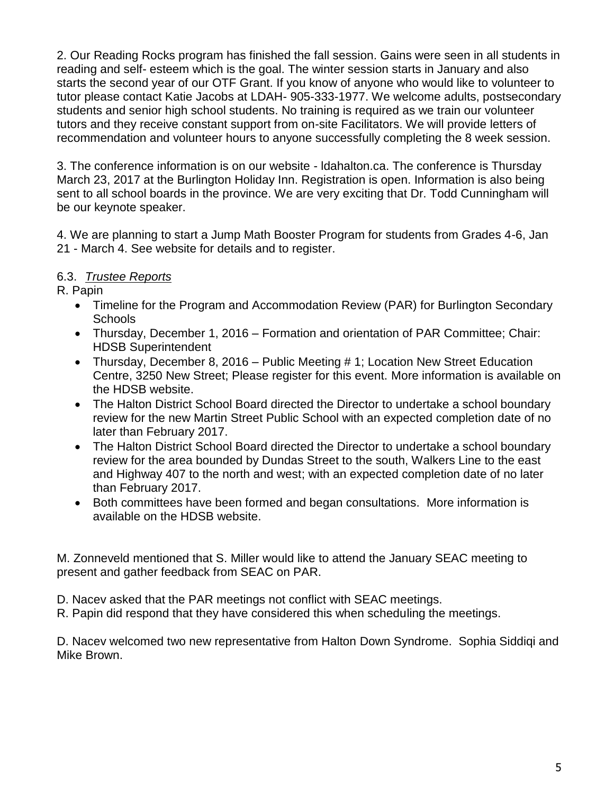2. Our Reading Rocks program has finished the fall session. Gains were seen in all students in reading and self- esteem which is the goal. The winter session starts in January and also starts the second year of our OTF Grant. If you know of anyone who would like to volunteer to tutor please contact Katie Jacobs at LDAH- 905-333-1977. We welcome adults, postsecondary students and senior high school students. No training is required as we train our volunteer tutors and they receive constant support from on-site Facilitators. We will provide letters of recommendation and volunteer hours to anyone successfully completing the 8 week session.

3. The conference information is on our website - [ldahalton.ca.](http://ldahalton.ca/) The conference is Thursday March 23, 2017 at the Burlington Holiday Inn. Registration is open. Information is also being sent to all school boards in the province. We are very exciting that Dr. Todd Cunningham will be our keynote speaker.

4. We are planning to start a Jump Math Booster Program for students from Grades 4-6, Jan 21 - March 4. See website for details and to register.

## 6.3. *Trustee Reports*

R. Papin

- Timeline for the Program and Accommodation Review (PAR) for Burlington Secondary **Schools**
- Thursday, December 1, 2016 Formation and orientation of PAR Committee; Chair: HDSB Superintendent
- Thursday, December 8, 2016 Public Meeting # 1; Location New Street Education Centre, 3250 New Street; Please register for this event. More information is available on the HDSB website.
- The Halton District School Board directed the Director to undertake a school boundary review for the new Martin Street Public School with an expected completion date of no later than February 2017.
- The Halton District School Board directed the Director to undertake a school boundary review for the area bounded by Dundas Street to the south, Walkers Line to the east and Highway 407 to the north and west; with an expected completion date of no later than February 2017.
- Both committees have been formed and began consultations. More information is available on the HDSB website.

M. Zonneveld mentioned that S. Miller would like to attend the January SEAC meeting to present and gather feedback from SEAC on PAR.

D. Nacev asked that the PAR meetings not conflict with SEAC meetings.

R. Papin did respond that they have considered this when scheduling the meetings.

D. Nacev welcomed two new representative from Halton Down Syndrome. Sophia Siddiqi and Mike Brown.